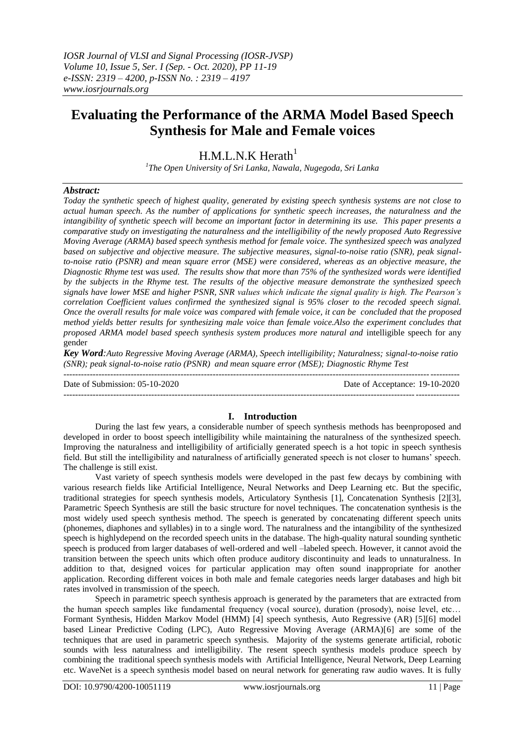# **Evaluating the Performance of the ARMA Model Based Speech Synthesis for Male and Female voices**

## $H.M.L.N.K Herath<sup>1</sup>$

*1 The Open University of Sri Lanka, Nawala, Nugegoda, Sri Lanka*

## *Abstract:*

*Today the synthetic speech of highest quality, generated by existing speech synthesis systems are not close to actual human speech. As the number of applications for synthetic speech increases, the naturalness and the intangibility of synthetic speech will become an important factor in determining its use. This paper presents a comparative study on investigating the naturalness and the intelligibility of the newly proposed Auto Regressive Moving Average (ARMA) based speech synthesis method for female voice. The synthesized speech was analyzed based on subjective and objective measure. The subjective measures, signal-to-noise ratio (SNR), peak signalto-noise ratio (PSNR) and mean square error (MSE) were considered, whereas as an objective measure, the Diagnostic Rhyme test was used. The results show that more than 75% of the synthesized words were identified by the subjects in the Rhyme test. The results of the objective measure demonstrate the synthesized speech signals have lower MSE and higher PSNR, SNR values which indicate the signal quality is high. The Pearson's correlation Coefficient values confirmed the synthesized signal is 95% closer to the recoded speech signal. Once the overall results for male voice was compared with female voice, it can be concluded that the proposed method yields better results for synthesizing male voice than female voice.Also the experiment concludes that proposed ARMA model based speech synthesis system produces more natural and* intelligible speech for any gender

*Key Word:Auto Regressive Moving Average (ARMA), Speech intelligibility; Naturalness; signal-to-noise ratio (SNR); peak signal-to-noise ratio (PSNR) and mean square error (MSE); Diagnostic Rhyme Test*

--------------------------------------------------------------------------------------------------------------------------------------- Date of Submission: 05-10-2020 Date of Acceptance: 19-10-2020  $-1.1$ 

## **I. Introduction**

During the last few years, a considerable number of speech synthesis methods has beenproposed and developed in order to boost speech intelligibility while maintaining the naturalness of the synthesized speech. Improving the naturalness and intelligibility of artificially generated speech is a hot topic in speech synthesis field. But still the intelligibility and naturalness of artificially generated speech is not closer to humans' speech. The challenge is still exist.

Vast variety of speech synthesis models were developed in the past few decays by combining with various research fields like Artificial Intelligence, Neural Networks and Deep Learning etc. But the specific, traditional strategies for speech synthesis models, Articulatory Synthesis [1], Concatenation Synthesis [2][3], Parametric Speech Synthesis are still the basic structure for novel techniques. The concatenation synthesis is the most widely used speech synthesis method. The speech is generated by concatenating different speech units (phonemes, diaphones and syllables) in to a single word. The naturalness and the intangibility of the synthesized speech is highlydepend on the recorded speech units in the database. The high-quality natural sounding synthetic speech is produced from larger databases of well-ordered and well –labeled speech. However, it cannot avoid the transition between the speech units which often produce auditory discontinuity and leads to unnaturalness. In addition to that, designed voices for particular application may often sound inappropriate for another application. Recording different voices in both male and female categories needs larger databases and high bit rates involved in transmission of the speech.

Speech in parametric speech synthesis approach is generated by the parameters that are extracted from the human speech samples like fundamental frequency (vocal source), duration (prosody), noise level, etc… Formant Synthesis, Hidden Markov Model (HMM) [4] speech synthesis, Auto Regressive (AR) [5][6] model based Linear Predictive Coding (LPC), Auto Regressive Moving Average (ARMA)[6] are some of the techniques that are used in parametric speech synthesis. Majority of the systems generate artificial, robotic sounds with less naturalness and intelligibility. The resent speech synthesis models produce speech by combining the traditional speech synthesis models with Artificial Intelligence, Neural Network, Deep Learning etc. WaveNet is a speech synthesis model based on neural network for generating raw audio waves. It is fully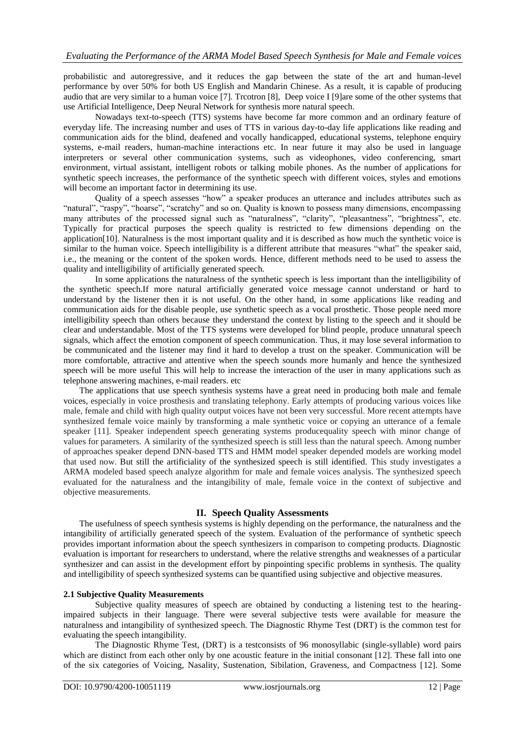probabilistic and autoregressive, and it reduces the gap between the state of the art and human-level performance by over 50% for both US English and Mandarin Chinese. As a result, it is capable of producing audio that are very similar to a human voice [7]. Trcotron [8], Deep voice I [9]are some of the other systems that use Artificial Intelligence, Deep Neural Network for synthesis more natural speech.

Nowadays text-to-speech (TTS) systems have become far more common and an ordinary feature of everyday life. The increasing number and uses of TTS in various day-to-day life applications like reading and communication aids for the blind, deafened and vocally handicapped, educational systems, telephone enquiry systems, e-mail readers, human-machine interactions etc. In near future it may also be used in language interpreters or several other communication systems, such as videophones, video conferencing, smart environment, virtual assistant, intelligent robots or talking mobile phones. As the number of applications for synthetic speech increases, the performance of the synthetic speech with different voices, styles and emotions will become an important factor in determining its use.

Quality of a speech assesses "how" a speaker produces an utterance and includes attributes such as "natural", "raspy", "hoarse", "scratchy" and so on. Quality is known to possess many dimensions, encompassing many attributes of the processed signal such as "naturalness", "clarity", "pleasantness", "brightness", etc. Typically for practical purposes the speech quality is restricted to few dimensions depending on the application[10]. Naturalness is the most important quality and it is described as how much the synthetic voice is similar to the human voice. Speech intelligibility is a different attribute that measures "what" the speaker said, i.e., the meaning or the content of the spoken words. Hence, different methods need to be used to assess the quality and intelligibility of artificially generated speech.

In some applications the naturalness of the synthetic speech is less important than the intelligibility of the synthetic speech.If more natural artificially generated voice message cannot understand or hard to understand by the listener then it is not useful. On the other hand, in some applications like reading and communication aids for the disable people, use synthetic speech as a vocal prosthetic. Those people need more intelligibility speech than others because they understand the context by listing to the speech and it should be clear and understandable. Most of the TTS systems were developed for blind people, produce unnatural speech signals, which affect the emotion component of speech communication. Thus, it may lose several information to be communicated and the listener may find it hard to develop a trust on the speaker. Communication will be more comfortable, attractive and attentive when the speech sounds more humanly and hence the synthesized speech will be more useful This will help to increase the interaction of the user in many applications such as telephone answering machines, e-mail readers. etc

The applications that use speech synthesis systems have a great need in producing both male and female voices, especially in voice prosthesis and translating telephony. Early attempts of producing various voices like male, female and child with high quality output voices have not been very successful. More recent attempts have synthesized female voice mainly by transforming a male synthetic voice or copying an utterance of a female speaker [11]. Speaker independent speech generating systems producequality speech with minor change of values for parameters. A similarity of the synthesized speech is still less than the natural speech. Among number of approaches speaker depend DNN-based TTS and HMM model speaker depended models are working model that used now. But still the artificiality of the synthesized speech is still identified. This study investigates a ARMA modeled based speech analyze algorithm for male and female voices analysis. The synthesized speech evaluated for the naturalness and the intangibility of male, female voice in the context of subjective and objective measurements.

## **II. Speech Quality Assessments**

The usefulness of speech synthesis systems is highly depending on the performance, the naturalness and the intangibility of artificially generated speech of the system. Evaluation of the performance of synthetic speech provides important information about the speech synthesizers in comparison to competing products. Diagnostic evaluation is important for researchers to understand, where the relative strengths and weaknesses of a particular synthesizer and can assist in the development effort by pinpointing specific problems in synthesis. The quality and intelligibility of speech synthesized systems can be quantified using subjective and objective measures.

## **2.1 Subjective Quality Measurements**

Subjective quality measures of speech are obtained by conducting a listening test to the hearingimpaired subjects in their language. There were several subjective tests were available for measure the naturalness and intangibility of synthesized speech. The Diagnostic Rhyme Test (DRT) is the common test for evaluating the speech intangibility.

The Diagnostic Rhyme Test, (DRT) is a testconsists of 96 monosyllabic (single-syllable) word pairs which are distinct from each other only by one acoustic feature in the initial consonant [12]. These fall into one of the six categories of Voicing, Nasality, Sustenation, Sibilation, Graveness, and Compactness [12]. Some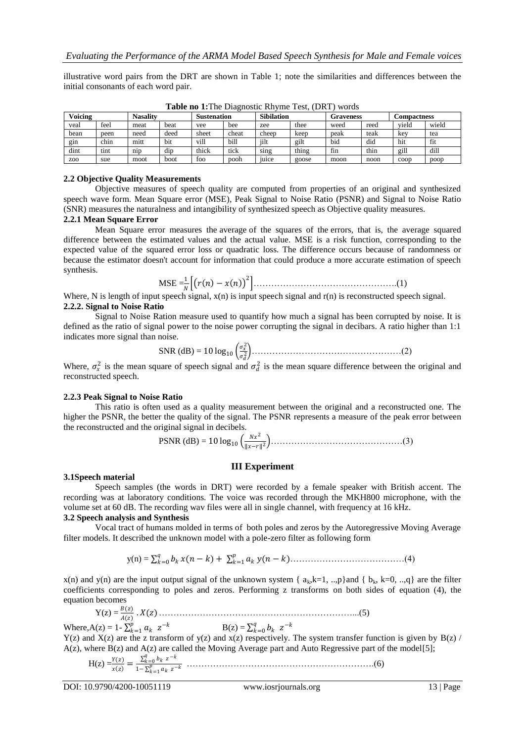illustrative word pairs from the DRT are shown in Table 1; note the similarities and differences between the initial consonants of each word pair.

| Voicing          |      | <b>Nasality</b> |      | <b>Sustenation</b> |       | <b>Sibilation</b> |       | Graveness |      | <b>Compactness</b> |       |
|------------------|------|-----------------|------|--------------------|-------|-------------------|-------|-----------|------|--------------------|-------|
| veal             | feel | meat            | beat | vee                | bee   | zee               | thee  | weed      | reed | viela              | wield |
| bean             | peen | need            | deed | sheet              | cheat | cheep             | keep  | peak      | teak | kev                | tea   |
| g <sub>1</sub> n | chin | mitt            | bit  | vill               | bill  | iilt              | gilt  | bid       | did  | hit                | †it   |
| dint             | tint | $n_{1D}$        | dip  | thick              | tick  | sing              | thing | †1n       | thin | gill               | dill  |
| Z <sub>00</sub>  | sue  | moot            | boot | foo                | pooh  | <sub>1</sub> uice | goose | moon      | noon | coop               | poop  |

**Table no 1:**The Diagnostic Rhyme Test, (DRT) words

## **2.2 Objective Quality Measurements**

Objective measures of speech quality are computed from properties of an original and synthesized speech wave form. Mean Square error (MSE), Peak Signal to Noise Ratio (PSNR) and Signal to Noise Ratio (SNR) measures the naturalness and intangibility of synthesized speech as Objective quality measures.

#### **2.2.1 Mean Square Error**

Mean Square error measures the average of the squares of the errors, that is, the average squared difference between the estimated values and the actual value. MSE is a risk function, corresponding to the expected value of the squared error loss or quadratic loss. The difference occurs because of randomness or because the estimator doesn't account for information that could produce a more accurate estimation of speech synthesis.

$$
\text{MSE} = \frac{1}{N} \left[ \left( r(n) - x(n) \right)^2 \right] \tag{1}
$$

Where, N is length of input speech signal,  $x(n)$  is input speech signal and  $r(n)$  is reconstructed speech signal. **2.2.2. Signal to Noise Ratio**

Signal to Noise Ration measure used to quantify how much a signal has been corrupted by noise. It is defined as the ratio of signal power to the noise power corrupting the signal in decibars. A ratio higher than 1:1 indicates more signal than noise.

SNR (dB) = 10 log<sup>10</sup> 2 <sup>2</sup> ……………………………………………(2)

Where,  $\sigma_x^2$  is the mean square of speech signal and  $\sigma_d^2$  is the mean square difference between the original and reconstructed speech.

#### **2.2.3 Peak Signal to Noise Ratio**

This ratio is often used as a quality measurement between the original and a reconstructed one. The higher the PSNR, the better the quality of the signal. The PSNR represents a measure of the peak error between the reconstructed and the original signal in decibels.

PSNR (dB) = 10 log<sub>10</sub> 
$$
\left(\frac{Nx^2}{\|x-r\|^2}\right)
$$
.................(3)

## **III Experiment**

#### **3.1Speech material**

Speech samples (the words in DRT) were recorded by a female speaker with British accent. The recording was at laboratory conditions. The voice was recorded through the MKH800 microphone, with the volume set at 60 dB. The recording wav files were all in single channel, with frequency at 16 kHz.

## **3.2 Speech analysis and Synthesis**

Vocal tract of humans molded in terms of both poles and zeros by the Autoregressive Moving Average filter models. It described the unknown model with a pole-zero filter as following form

$$
y(n) = \sum_{k=0}^{q} b_k x(n-k) + \sum_{k=1}^{p} a_k y(n-k) \dots (4)
$$

x(n) and y(n) are the input output signal of the unknown system {  $a_k, k=1, ..., p$ }and {  $b_k, k=0, ..., q$ } are the filter coefficients corresponding to poles and zeros. Performing z transforms on both sides of equation (4), the equation becomes

Y(z) = () () . ()…………………………………………………………...(5)

Where,  $A(z) = 1 - \sum_{k=1}^{p} a_k z^{-k}$   $B(z) = \sum_{k=0}^{q} b_k z^{-k}$  $Y(z)$  and  $X(z)$  are the z transform of  $y(z)$  and  $x(z)$  respectively. The system transfer function is given by  $B(z)$  /  $A(z)$ , where  $B(z)$  and  $A(z)$  are called the Moving Average part and Auto Regressive part of the model[5];

H(z) =() = =0 − 1− =1 − ……………………………………………………….(6)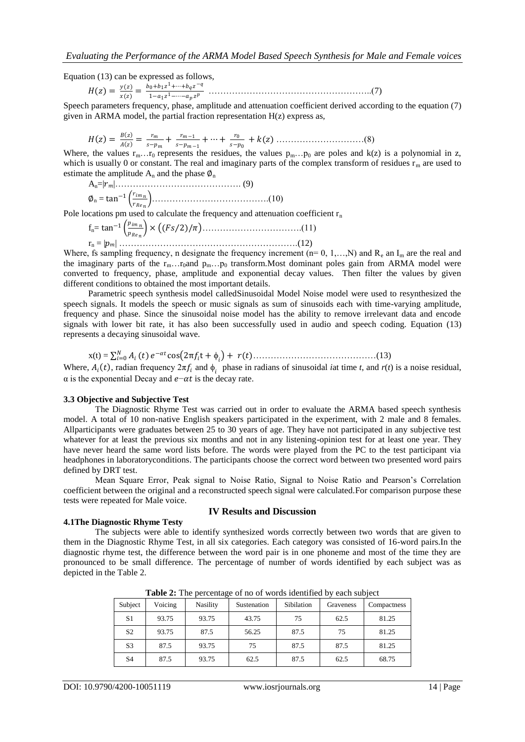Equation (13) can be expressed as follows,

 = () () = 0+1 <sup>1</sup>+⋯+ − 1−1 <sup>1</sup>−⋯− ………………………………………………..(7)

Speech parameters frequency, phase, amplitude and attenuation coefficient derived according to the equation (7) given in ARMA model, the partial fraction representation  $H(z)$  express as,

 = = + −1 + ⋯ + 0 + () …………………………(8)

Where, the values  $r_m$ ...  $r_0$  represents the residues, the values  $p_m$ ...  $p_0$  are poles and k(z) is a polynomial in z, which is usually 0 or constant. The real and imaginary parts of the complex transform of residues  $r_m$  are used to estimate the amplitude  $A_n$  and the phase  $\varnothing_n$ 

An=||……………………………………. (9) ∅<sup>n</sup> = tan<sup>−</sup><sup>1</sup> ………………………………….(10)

Pole locations pm used to calculate the frequency and attenuation coefficient  $r_n$ 

fn= tan<sup>−</sup><sup>1</sup> × 2 / …………………………….(11) r<sup>n</sup> = || …………………………………………………….(12)

Where, fs sampling frequency, n designate the frequency increment ( $n= 0, 1,...,N$ ) and  $R_e$  an  $I_m$  are the real and the imaginary parts of the  $r_m...r_0$ and  $p_m...p_0$  transform. Most dominant poles gain from ARMA model were converted to frequency, phase, amplitude and exponential decay values. Then filter the values by given different conditions to obtained the most important details.

Parametric speech synthesis model calledSinusoidal Model Noise model were used to resynthesized the speech signals. It models the speech or music signals as sum of sinusoids each with time-varying amplitude, frequency and phase. Since the sinusoidal noise model has the ability to remove irrelevant data and encode signals with lower bit rate, it has also been successfully used in audio and speech coding. Equation (13) represents a decaying sinusoidal wave.

x(t) = =0 − cos 2π t + + ……………………………………(13)

Where,  $A_i(t)$ , radian frequency  $2\pi f_i$  and  $\phi_i$  phase in radians of sinusoidal *i*at time *t*, and *r*(*t*) is a noise residual,  $\alpha$  is the exponential Decay and  $e-\alpha t$  is the decay rate.

#### **3.3 Objective and Subjective Test**

The Diagnostic Rhyme Test was carried out in order to evaluate the ARMA based speech synthesis model. A total of 10 non-native English speakers participated in the experiment, with 2 male and 8 females. Allparticipants were graduates between 25 to 30 years of age. They have not participated in any subjective test whatever for at least the previous six months and not in any listening-opinion test for at least one year. They have never heard the same word lists before. The words were played from the PC to the test participant via headphones in laboratoryconditions. The participants choose the correct word between two presented word pairs defined by DRT test.

Mean Square Error, Peak signal to Noise Ratio, Signal to Noise Ratio and Pearson's Correlation coefficient between the original and a reconstructed speech signal were calculated.For comparison purpose these tests were repeated for Male voice.

#### **4.1The Diagnostic Rhyme Testy**

## **IV Results and Discussion**

The subjects were able to identify synthesized words correctly between two words that are given to them in the Diagnostic Rhyme Test, in all six categories. Each category was consisted of 16-word pairs.In the diagnostic rhyme test, the difference between the word pair is in one phoneme and most of the time they are pronounced to be small difference. The percentage of number of words identified by each subject was as depicted in the Table 2.

| Subject        | Voicing | <b>Nasility</b> | Sustenation | Sibilation | Graveness | Compactness |
|----------------|---------|-----------------|-------------|------------|-----------|-------------|
| S1             | 93.75   | 93.75           | 43.75       | 75         | 62.5      | 81.25       |
| S <sub>2</sub> | 93.75   | 87.5            | 56.25       | 87.5       | 75        | 81.25       |
| S <sub>3</sub> | 87.5    | 93.75           | 75          | 87.5       | 87.5      | 81.25       |
| S4             | 87.5    | 93.75           | 62.5        | 87.5       | 62.5      | 68.75       |

**Table 2:** The percentage of no of words identified by each subject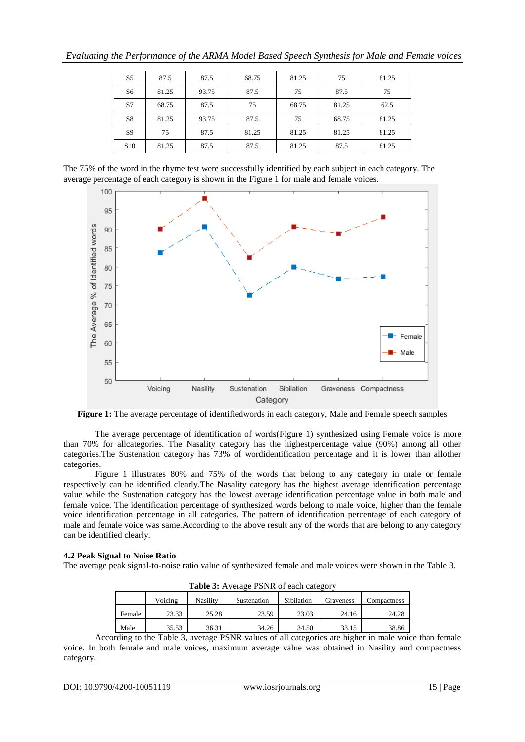| S <sub>5</sub>  | 87.5  | 87.5  | 68.75 | 81.25 | 75    | 81.25 |
|-----------------|-------|-------|-------|-------|-------|-------|
| S6              | 81.25 | 93.75 | 87.5  | 75    | 87.5  | 75    |
| S7              | 68.75 | 87.5  | 75    | 68.75 | 81.25 | 62.5  |
| S8              | 81.25 | 93.75 | 87.5  | 75    | 68.75 | 81.25 |
| S <sub>9</sub>  | 75    | 87.5  | 81.25 | 81.25 | 81.25 | 81.25 |
| S <sub>10</sub> | 81.25 | 87.5  | 87.5  | 81.25 | 87.5  | 81.25 |

The 75% of the word in the rhyme test were successfully identified by each subject in each category. The average percentage of each category is shown in the Figure 1 for male and female voices.



**Figure 1:** The average percentage of identifiedwords in each category, Male and Female speech samples

The average percentage of identification of words(Figure 1) synthesized using Female voice is more than 70% for allcategories. The Nasality category has the highestpercentage value (90%) among all other categories.The Sustenation category has 73% of wordidentification percentage and it is lower than allother categories.

Figure 1 illustrates 80% and 75% of the words that belong to any category in male or female respectively can be identified clearly.The Nasality category has the highest average identification percentage value while the Sustenation category has the lowest average identification percentage value in both male and female voice. The identification percentage of synthesized words belong to male voice, higher than the female voice identification percentage in all categories. The pattern of identification percentage of each category of male and female voice was same.According to the above result any of the words that are belong to any category can be identified clearly.

## **4.2 Peak Signal to Noise Ratio**

The average peak signal-to-noise ratio value of synthesized female and male voices were shown in the Table 3.

| <b>Table 5.</b> AVERIGE 1 STYR OF CACH CARGOLY |         |                 |             |            |           |             |  |  |
|------------------------------------------------|---------|-----------------|-------------|------------|-----------|-------------|--|--|
|                                                | Voicing | <b>Nasility</b> | Sustenation | Sibilation | Graveness | Compactness |  |  |
| Female                                         | 23.33   | 25.28           | 23.59       | 23.03      | 24.16     | 24.28       |  |  |
| Male                                           | 35.53   | 36.31           | 34.26       | 34.50      | 33.15     | 38.86       |  |  |

**Table 3:** Average PSNR of each category

According to the Table 3, average PSNR values of all categories are higher in male voice than female voice. In both female and male voices, maximum average value was obtained in Nasility and compactness category.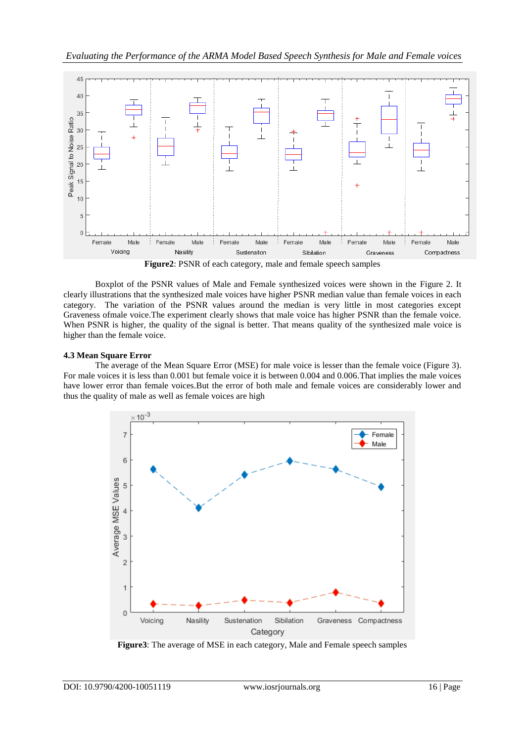

**Figure2**: PSNR of each category, male and female speech samples

Boxplot of the PSNR values of Male and Female synthesized voices were shown in the Figure 2. It clearly illustrations that the synthesized male voices have higher PSNR median value than female voices in each category. The variation of the PSNR values around the median is very little in most categories except Graveness ofmale voice.The experiment clearly shows that male voice has higher PSNR than the female voice. When PSNR is higher, the quality of the signal is better. That means quality of the synthesized male voice is higher than the female voice.

## **4.3 Mean Square Error**

The average of the Mean Square Error (MSE) for male voice is lesser than the female voice (Figure 3). For male voices it is less than 0.001 but female voice it is between 0.004 and 0.006.That implies the male voices have lower error than female voices.But the error of both male and female voices are considerably lower and thus the quality of male as well as female voices are high



**Figure3**: The average of MSE in each category, Male and Female speech samples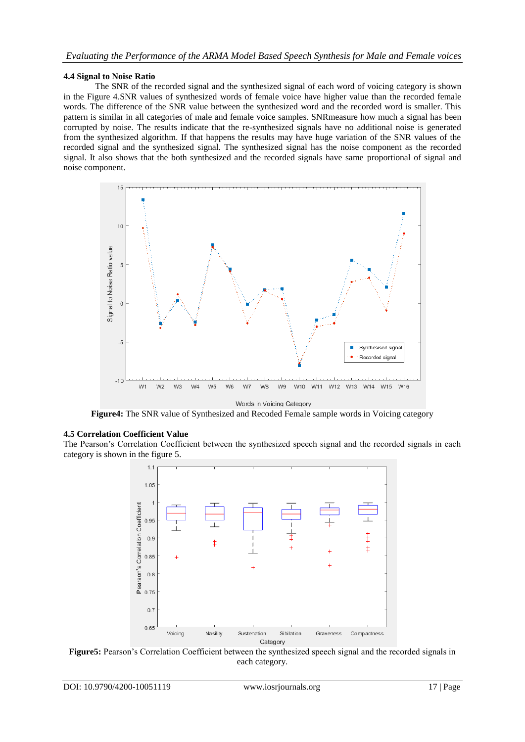## **4.4 Signal to Noise Ratio**

The SNR of the recorded signal and the synthesized signal of each word of voicing category is shown in the Figure 4.SNR values of synthesized words of female voice have higher value than the recorded female words. The difference of the SNR value between the synthesized word and the recorded word is smaller. This pattern is similar in all categories of male and female voice samples. SNRmeasure how much a signal has been corrupted by noise. The results indicate that the re-synthesized signals have no additional noise is generated from the synthesized algorithm. If that happens the results may have huge variation of the SNR values of the recorded signal and the synthesized signal. The synthesized signal has the noise component as the recorded signal. It also shows that the both synthesized and the recorded signals have same proportional of signal and noise component.



**Figure4:** The SNR value of Synthesized and Recoded Female sample words in Voicing category

## **4.5 Correlation Coefficient Value**

The Pearson's Correlation Coefficient between the synthesized speech signal and the recorded signals in each category is shown in the figure 5.



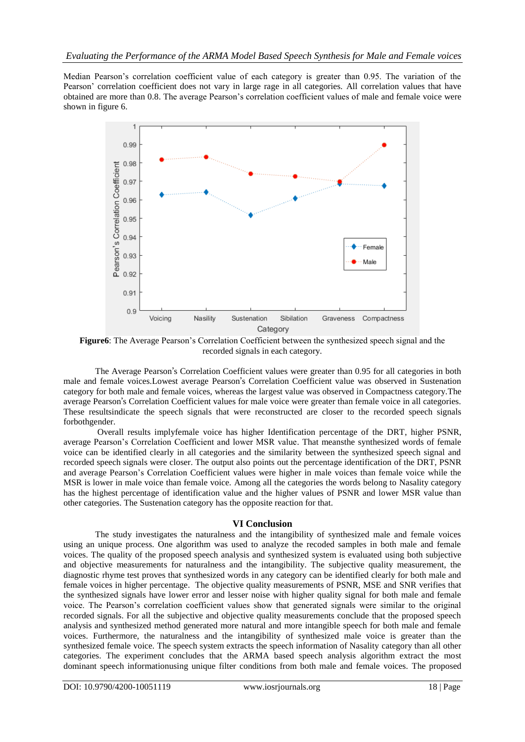Median Pearson's correlation coefficient value of each category is greater than 0.95. The variation of the Pearson' correlation coefficient does not vary in large rage in all categories. All correlation values that have obtained are more than 0.8. The average Pearson's correlation coefficient values of male and female voice were shown in figure 6.



**Figure6**: The Average Pearson's Correlation Coefficient between the synthesized speech signal and the recorded signals in each category.

The Average Pearson's Correlation Coefficient values were greater than 0.95 for all categories in both male and female voices.Lowest average Pearson's Correlation Coefficient value was observed in Sustenation category for both male and female voices, whereas the largest value was observed in Compactness category.The average Pearson's Correlation Coefficient values for male voice were greater than female voice in all categories. These resultsindicate the speech signals that were reconstructed are closer to the recorded speech signals forbothgender.

Overall results implyfemale voice has higher Identification percentage of the DRT, higher PSNR, average Pearson's Correlation Coefficient and lower MSR value. That meansthe synthesized words of female voice can be identified clearly in all categories and the similarity between the synthesized speech signal and recorded speech signals were closer. The output also points out the percentage identification of the DRT, PSNR and average Pearson's Correlation Coefficient values were higher in male voices than female voice while the MSR is lower in male voice than female voice. Among all the categories the words belong to Nasality category has the highest percentage of identification value and the higher values of PSNR and lower MSR value than other categories. The Sustenation category has the opposite reaction for that.

## **VI Conclusion**

The study investigates the naturalness and the intangibility of synthesized male and female voices using an unique process. One algorithm was used to analyze the recoded samples in both male and female voices. The quality of the proposed speech analysis and synthesized system is evaluated using both subjective and objective measurements for naturalness and the intangibility. The subjective quality measurement, the diagnostic rhyme test proves that synthesized words in any category can be identified clearly for both male and female voices in higher percentage. The objective quality measurements of PSNR, MSE and SNR verifies that the synthesized signals have lower error and lesser noise with higher quality signal for both male and female voice. The Pearson's correlation coefficient values show that generated signals were similar to the original recorded signals. For all the subjective and objective quality measurements conclude that the proposed speech analysis and synthesized method generated more natural and more intangible speech for both male and female voices. Furthermore, the naturalness and the intangibility of synthesized male voice is greater than the synthesized female voice. The speech system extracts the speech information of Nasality category than all other categories. The experiment concludes that the ARMA based speech analysis algorithm extract the most dominant speech informationusing unique filter conditions from both male and female voices. The proposed